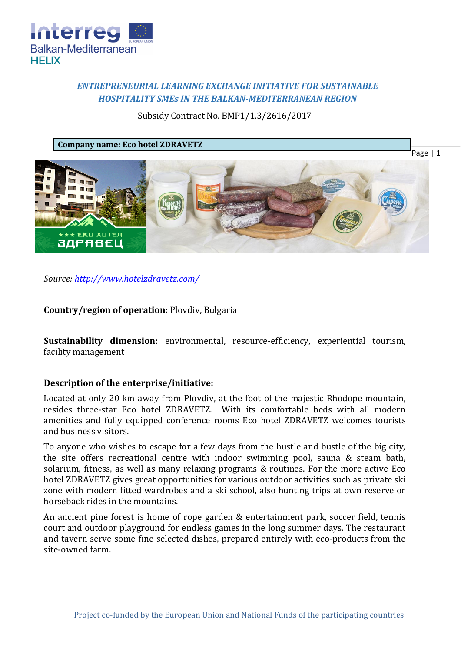

# *ENTREPRENEURIAL LEARNING EXCHANGE INITIATIVE FOR SUSTAINABLE HOSPITALITY SMEs IN THE BALKAN-MEDITERRANEAN REGION*

Subsidy Contract No. BMP1/1.3/2616/2017

**Company name: Eco hotel ZDRAVETZ**



*Source:<http://www.hotelzdravetz.com/>*

**Country/region of operation:** Plovdiv, Bulgaria

**Sustainability dimension:** environmental, resource-efficiency, experiential tourism, facility management

## **Description of the enterprise/initiative:**

Located at only 20 km away from Plovdiv, at the foot of the majestic Rhodope mountain, resides three-star Eco hotel ZDRAVETZ. With its comfortable beds with all modern amenities and fully equipped conference rooms Eco hotel ZDRAVETZ welcomes tourists and business visitors.

To anyone who wishes to escape for a few days from the hustle and bustle of the big city, the site offers recreational centre with indoor swimming pool, sauna & steam bath, solarium, fitness, as well as many relaxing programs & routines. For the more active Eco hotel ZDRAVETZ gives great opportunities for various outdoor activities such as private ski zone with modern fitted wardrobes and a ski school, also hunting trips at own reserve or horseback rides in the mountains.

An ancient pine forest is home of rope garden & entertainment park, soccer field, tennis court and outdoor playground for endless games in the long summer days. The restaurant and tavern serve some fine selected dishes, prepared entirely with eco-products from the site-owned farm.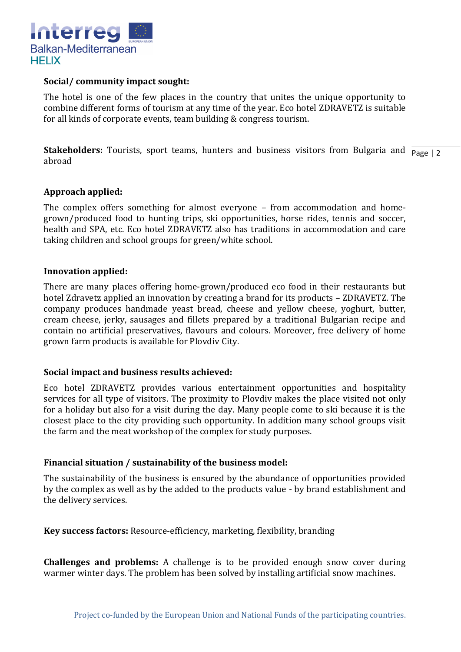

### **Social/ community impact sought:**

The hotel is one of the few places in the country that unites the unique opportunity to combine different forms of tourism at any time of the year. Eco hotel ZDRAVETZ is suitable for all kinds of corporate events, team building & congress tourism.

**Stakeholders:** Tourists, sport teams, hunters and business visitors from Bulgaria and  $\frac{1}{\text{Page } |2}$ abroad

### **Approach applied:**

The complex offers something for almost everyone – from accommodation and homegrown/produced food to hunting trips, ski opportunities, horse rides, tennis and soccer, health and SPA, etc. Eco hotel ZDRAVETZ also has traditions in accommodation and care taking children and school groups for green/white school.

#### **Innovation applied:**

There are many places offering home-grown/produced eco food in their restaurants but hotel Zdravetz applied an innovation by creating a brand for its products – ZDRAVETZ. The company produces handmade yeast bread, cheese and yellow cheese, yoghurt, butter, cream cheese, jerky, sausages and fillets prepared by a traditional Bulgarian recipe and contain no artificial preservatives, flavours and colours. Moreover, free delivery of home grown farm products is available for Plovdiv City.

## **Social impact and business results achieved:**

Eco hotel ZDRAVETZ provides various entertainment opportunities and hospitality services for all type of visitors. The proximity to Plovdiv makes the place visited not only for a holiday but also for a visit during the day. Many people come to ski because it is the closest place to the city providing such opportunity. In addition many school groups visit the farm and the meat workshop of the complex for study purposes.

## **Financial situation / sustainability of the business model:**

The sustainability of the business is ensured by the abundance of opportunities provided by the complex as well as by the added to the products value - by brand establishment and the delivery services.

**Key success factors:** Resource-efficiency, marketing, flexibility, branding

**Challenges and problems:** A challenge is to be provided enough snow cover during warmer winter days. The problem has been solved by installing artificial snow machines.